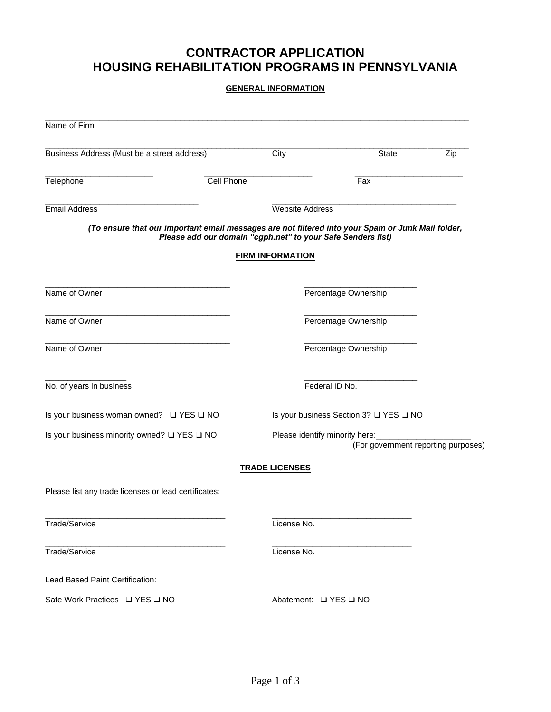# **CONTRACTOR APPLICATION HOUSING REHABILITATION PROGRAMS IN PENNSYLVANIA**

### **GENERAL INFORMATION**

| Name of Firm                                                                                                                                                     |                         |                                                                       |     |  |
|------------------------------------------------------------------------------------------------------------------------------------------------------------------|-------------------------|-----------------------------------------------------------------------|-----|--|
| Business Address (Must be a street address)                                                                                                                      | City                    | State                                                                 | Zip |  |
| Cell Phone<br>Telephone                                                                                                                                          |                         | Fax                                                                   |     |  |
| <b>Email Address</b>                                                                                                                                             |                         | <b>Website Address</b>                                                |     |  |
| (To ensure that our important email messages are not filtered into your Spam or Junk Mail folder,<br>Please add our domain "cgph.net" to your Safe Senders list) |                         |                                                                       |     |  |
|                                                                                                                                                                  | <b>FIRM INFORMATION</b> |                                                                       |     |  |
| Name of Owner                                                                                                                                                    |                         | Percentage Ownership                                                  |     |  |
| Name of Owner                                                                                                                                                    |                         | Percentage Ownership                                                  |     |  |
| Name of Owner                                                                                                                                                    |                         | Percentage Ownership                                                  |     |  |
| No. of years in business                                                                                                                                         |                         | Federal ID No.                                                        |     |  |
| Is your business woman owned? □ YES □ NO                                                                                                                         |                         | Is your business Section 3? □ YES □ NO                                |     |  |
| Is your business minority owned? $\Box$ YES $\Box$ NO                                                                                                            |                         | Please identify minority here:<br>(For government reporting purposes) |     |  |
|                                                                                                                                                                  | <b>TRADE LICENSES</b>   |                                                                       |     |  |
| Please list any trade licenses or lead certificates:                                                                                                             |                         |                                                                       |     |  |
| Trade/Service                                                                                                                                                    | License No.             |                                                                       |     |  |
| Trade/Service                                                                                                                                                    | License No.             |                                                                       |     |  |
| Lead Based Paint Certification:                                                                                                                                  |                         |                                                                       |     |  |
| Safe Work Practices □ YES □ NO                                                                                                                                   |                         | Abatement: □ YES □ NO                                                 |     |  |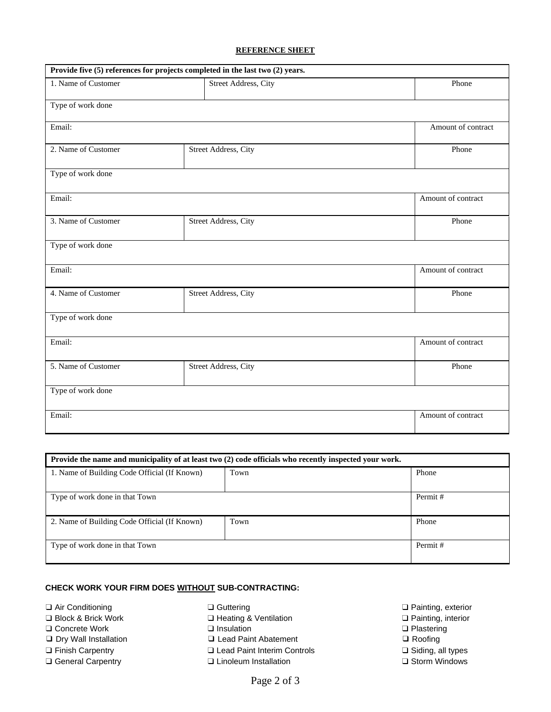### **REFERENCE SHEET**

| Provide five (5) references for projects completed in the last two (2) years. |                      |                    |  |  |
|-------------------------------------------------------------------------------|----------------------|--------------------|--|--|
| 1. Name of Customer                                                           | Street Address, City | Phone              |  |  |
| Type of work done                                                             |                      |                    |  |  |
| Email:                                                                        |                      | Amount of contract |  |  |
| 2. Name of Customer                                                           | Street Address, City | Phone              |  |  |
| Type of work done                                                             |                      |                    |  |  |
| Email:                                                                        |                      | Amount of contract |  |  |
| 3. Name of Customer                                                           | Street Address, City | Phone              |  |  |
| Type of work done                                                             |                      |                    |  |  |
| Email:                                                                        |                      | Amount of contract |  |  |
| 4. Name of Customer                                                           | Street Address, City | Phone              |  |  |
| Type of work done                                                             |                      |                    |  |  |
| Email:                                                                        |                      | Amount of contract |  |  |
| 5. Name of Customer                                                           | Street Address, City | Phone              |  |  |
| Type of work done                                                             |                      |                    |  |  |
| Email:                                                                        |                      | Amount of contract |  |  |

| Provide the name and municipality of at least two (2) code officials who recently inspected your work. |      |         |  |  |  |
|--------------------------------------------------------------------------------------------------------|------|---------|--|--|--|
| 1. Name of Building Code Official (If Known)                                                           | Town | Phone   |  |  |  |
| Type of work done in that Town                                                                         |      | Permit# |  |  |  |
| 2. Name of Building Code Official (If Known)                                                           | Town | Phone   |  |  |  |
| Type of work done in that Town                                                                         |      | Permit# |  |  |  |

## **CHECK WORK YOUR FIRM DOES WITHOUT SUB-CONTRACTING:**

- 
- 
- ❑ Concrete Work ❑ Insulation ❑ Plastering
- 
- ❑ Finish Carpentry ❑ Lead Paint Interim Controls ❑ Siding, all types
- ❑ General Carpentry ❑ Linoleum Installation ❑ Storm Windows
- 
- ❑ Block & Brick Work ❑ Heating & Ventilation ❑ Painting, interior
	-
- ❑ Dry Wall Installation ❑ Lead Paint Abatement ❑ Roofing
	-
	-

❑ Air Conditioning ❑ Guttering ❑ Painting, exterior

- 
- 
- 
-